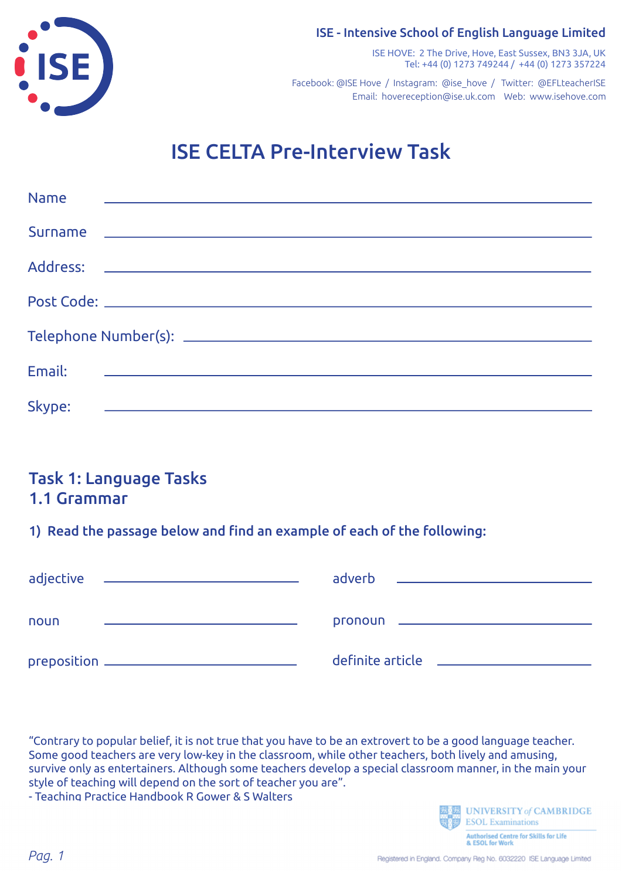



ISE HOVE: 2 The Drive, Hove, East Sussex, BN3 3JA, UK Tel: +44 (0) 1273 749244 / +44 (0) 1273 357224

Email: hovereception@ise.uk.com Web: www.isehove.com Facebook: @ISE Hove / Instagram: @ise\_hove / Twitter: @EFLteacherISE

# ISE CELTA Pre-Interview Task

| <b>Name</b><br><u> 1980 - Jan Sterling, mars and de la politica de la politica de la politica de la politica de la politica de</u> |
|------------------------------------------------------------------------------------------------------------------------------------|
|                                                                                                                                    |
|                                                                                                                                    |
|                                                                                                                                    |
|                                                                                                                                    |
| <u> 1989 - Andrea Station, amerikansk politiker (d. 1989)</u><br>Email:                                                            |
| Skype:<br><u> 1980 - Andrea Station, amerikansk politik (d. 1980)</u>                                                              |

# Task 1: Language Tasks 1.1 Grammar

1) Read the passage below and find an example of each of the following:

| adjective<br><u>and the second control of the second control of the second control of the second control of</u> | adverb<br><u> 1980 - Andrea Andrew Maria (b. 1980)</u>                   |
|-----------------------------------------------------------------------------------------------------------------|--------------------------------------------------------------------------|
|                                                                                                                 |                                                                          |
| noun                                                                                                            | pronoun ________________                                                 |
| preposition ____________________________                                                                        | definite article<br><u> 1980 - Jan Barnett, fransk politik (d. 1980)</u> |

"Contrary to popular belief, it is not true that you have to be an extrovert to be a good language teacher. Some good teachers are very low-key in the classroom, while other teachers, both lively and amusing, survive only as entertainers. Although some teachers develop a special classroom manner, in the main your style of teaching will depend on the sort of teacher you are".

- Teaching Practice Handbook R Gower & S Walters



**Authorised Centre for Skills for Life**<br>& ESOL for Work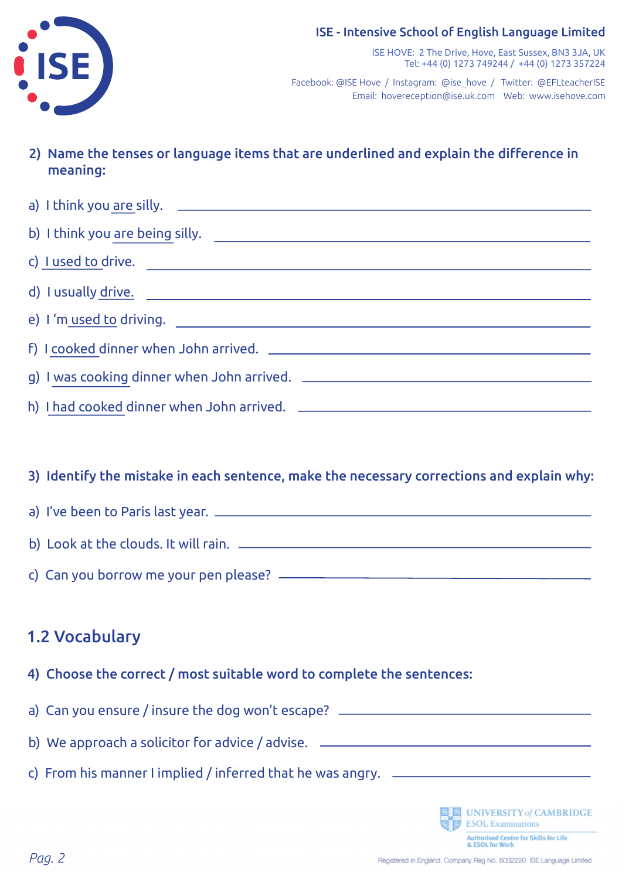#### ISE - Intensive School of English Language Limited



ISE HOVE: 2 The Drive, Hove, East Sussex, BN3 3JA, UK Tel: +44 (0) 1273 749244 / +44 (0) 1273 357224

Email: hovereception@ise.uk.com Web: www.isehove.com Facebook: @ISE Hove / Instagram: @ise\_hove / Twitter: @EFLteacherISE

2) Name the tenses or language items that are underlined and explain the difference in meaning:

| c) <u>I used to drive.</u> |  |
|----------------------------|--|
| d) I usually <u>drive.</u> |  |
|                            |  |
|                            |  |
|                            |  |
|                            |  |

#### 3) Identify the mistake in each sentence, make the necessary corrections and explain why:

# a) I've been to Paris last year. b) Look at the clouds. It will rain.

c) Can you borrow me your pen please?

# 1.2 Vocabulary

- 4) Choose the correct / most suitable word to complete the sentences:
- a) Can you ensure / insure the dog won't escape?
- b) We approach a solicitor for advice / advise.
- c) From his manner I implied / inferred that he was angry.

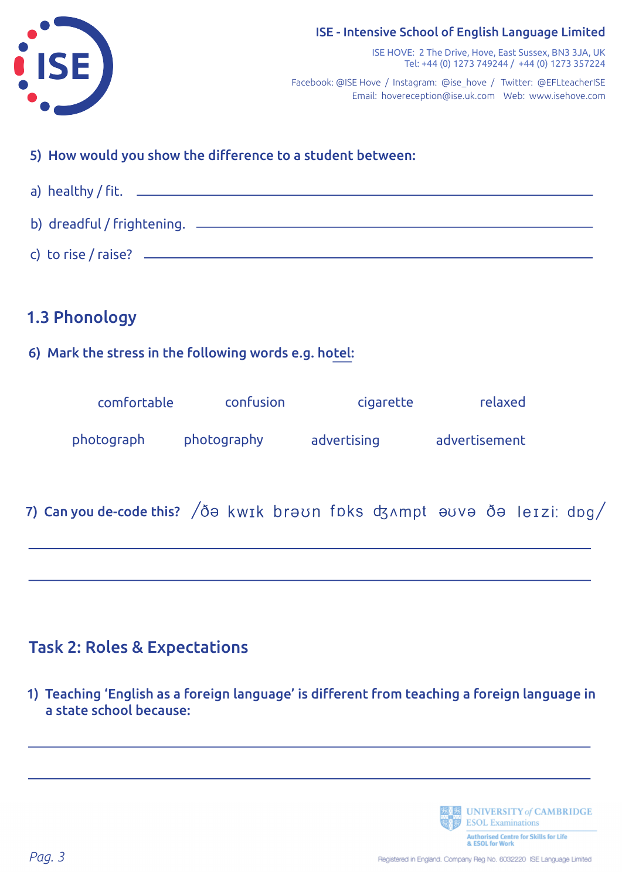



#### ISE HOVE: 2 The Drive, Hove, East Sussex, BN3 3JA, UK Tel: +44 (0) 1273 749244 / +44 (0) 1273 357224

Email: hovereception@ise.uk.com Web: www.isehove.com Facebook: @ISE Hove / Instagram: @ise\_hove / Twitter: @EFLteacherISE

## 5) How would you show the difference to a student between:



# 1.3 Phonology

### 6) Mark the stress in the following words e.g. hotel:

| comfortable | confusion   | cigarette   | relaxed       |
|-------------|-------------|-------------|---------------|
| photograph  | photography | advertising | advertisement |

# 7) Can you de-code this?  $\sqrt{\delta}$ a kwik bra $\upsilon$ n foks dzampt avva  $\delta$ a leizi: dog $\sqrt{\delta}$

# Task 2: Roles & Expectations

1) Teaching 'English as a foreign language' is different from teaching a foreign language in a state school because:

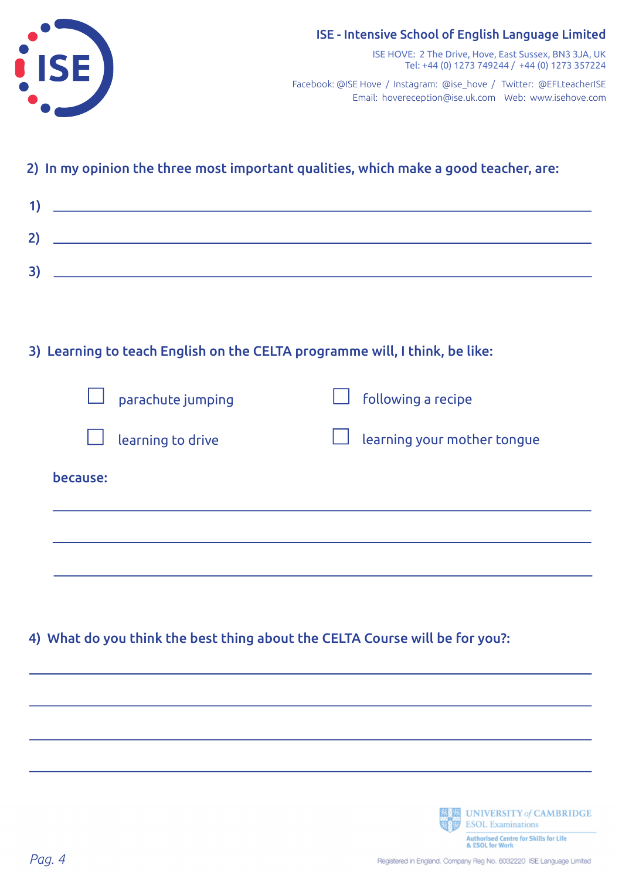

#### 2) In my opinion the three most important qualities, which make a good teacher, are:

| и            |  |
|--------------|--|
| $\mathbf{2}$ |  |
| 3)           |  |

#### 3) Learning to teach English on the CELTA programme will, I think, be like:

| $\Box$ parachute jumping | $\Box$ following a recipe          |
|--------------------------|------------------------------------|
| $\Box$ learning to drive | $\Box$ learning your mother tongue |
| because:                 |                                    |

#### 4) What do you think the best thing about the CELTA Course will be for you?:

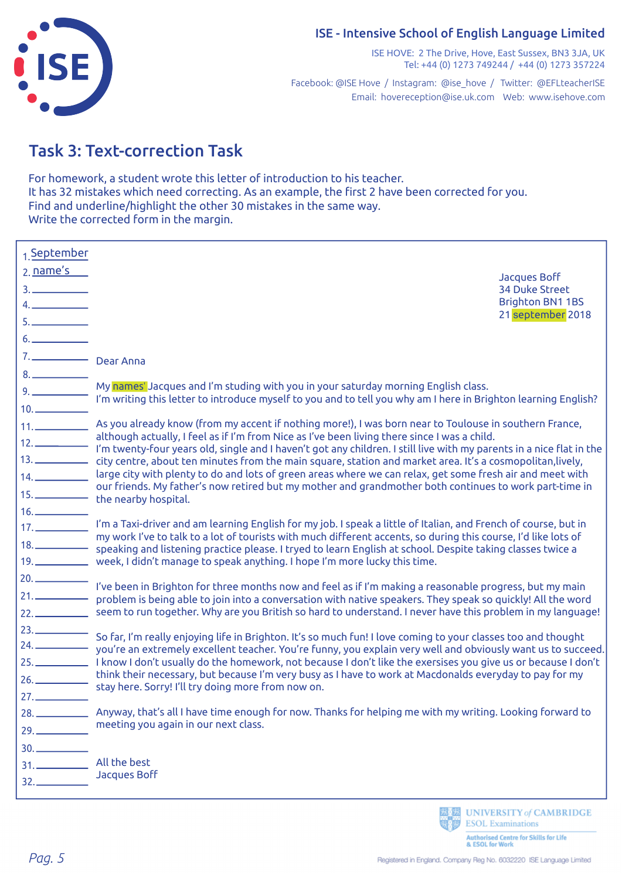#### ISE - Intensive School of English Language Limited

ISE

ISE HOVE: 2 The Drive, Hove, East Sussex, BN3 3JA, UK Tel: +44 (0) 1273 749244 / +44 (0) 1273 357224

Email: hovereception@ise.uk.com Web: www.isehove.com Facebook: @ISE Hove / Instagram: @ise\_hove / Twitter: @EFLteacherISE

# Task 3: Text-correction Task

For homework, a student wrote this letter of introduction to his teacher. It has 32 mistakes which need correcting. As an example, the first 2 have been corrected for you. Find and underline/highlight the other 30 mistakes in the same way. Write the corrected form in the margin.

| 1. September<br>2. name's<br>3.                                        | <b>Jacques Boff</b><br><b>34 Duke Street</b><br><b>Brighton BN1 1BS</b><br>21 september 2018                                                                                                                                                                                                                                                                                                                                                                                                                                                |
|------------------------------------------------------------------------|---------------------------------------------------------------------------------------------------------------------------------------------------------------------------------------------------------------------------------------------------------------------------------------------------------------------------------------------------------------------------------------------------------------------------------------------------------------------------------------------------------------------------------------------|
| 7. Dear Anna                                                           |                                                                                                                                                                                                                                                                                                                                                                                                                                                                                                                                             |
| $10.$ $\qquad \qquad$                                                  | 9. My names' Jacques and I'm studing with you in your saturday morning English class.<br>I'm writing this letter to introduce myself to you and to tell you why am I here in Brighton learning English?<br>11. As you already know (from my accent if nothing more!), I was born near to Toulouse in southern France,<br>although actually, I feel as if I'm from Nice as I've been living there since I was a child.                                                                                                                       |
|                                                                        | 12. _____________ i'm twenty-four years old, single and I haven't got any children. I still live with my parents in a nice flat in the<br>13. _____________ city centre, about ten minutes from the main square, station and market area. It's a cosmopolitan, lively,<br>14. Large city with plenty to do and lots of green areas where we can relax, get some fresh air and meet with<br>our friends. My father's now retired but my mother and grandmother both continues to work part-time in<br>15. _____________ the nearby hospital. |
| 16.                                                                    | 17. ____________ I'm a Taxi-driver and am learning English for my job. I speak a little of Italian, and French of course, but in<br>my work I've to talk to a lot of tourists with much different accents, so during this course, I'd like lots of<br>18. ______________ speaking and listening practice please. I tryed to learn English at school. Despite taking classes twice a<br>19. _____________ week, I didn't manage to speak anything. I hope I'm more lucky this time.                                                          |
|                                                                        | I've been in Brighton for three months now and feel as if I'm making a reasonable progress, but my main<br>22. seem to run together. Why are you British so hard to understand. I never have this problem in my language!                                                                                                                                                                                                                                                                                                                   |
| 23.                                                                    | So far, I'm really enjoying life in Brighton. It's so much fun! I love coming to your classes too and thought<br>25. I know I don't usually do the homework, not because I don't like the exersises you give us or because I don't<br>think their necessary, but because I'm very busy as I have to work at Macdonalds everyday to pay for my<br>26. ____________ think their inecessary, public controlled from now on.                                                                                                                    |
| 29.                                                                    | 28. ______________ Anyway, that's all I have time enough for now. Thanks for helping me with my writing. Looking forward to<br>meeting you again in our next class.                                                                                                                                                                                                                                                                                                                                                                         |
| 30.<br>31.<br>$\begin{array}{c}\n 32. \quad \text{---} \\ \end{array}$ | All the best<br><b>Jacques Boff</b>                                                                                                                                                                                                                                                                                                                                                                                                                                                                                                         |